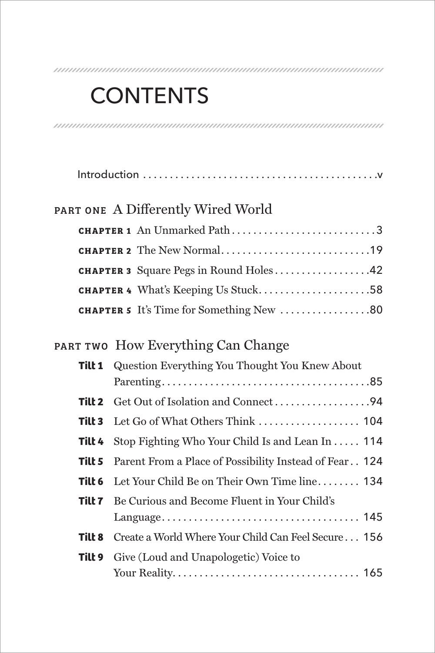## **CONTENTS**

|                                               | PART ONE A Differently Wired World                        |
|-----------------------------------------------|-----------------------------------------------------------|
|                                               | <b>CHAPTER 1</b> An Unmarked Path3                        |
|                                               | <b>CHAPTER 2</b> The New Normal19                         |
| <b>CHAPTER 3</b> Square Pegs in Round Holes42 |                                                           |
| CHAPTER 4 What's Keeping Us Stuck58           |                                                           |
|                                               | <b>CHAPTER 5</b> It's Time for Something New 80           |
|                                               |                                                           |
| <b>PART TWO</b>                               | How Everything Can Change                                 |
| <b>Tilt 1</b>                                 | Question Everything You Thought You Knew About            |
|                                               |                                                           |
| Tilt 2                                        | Get Out of Isolation and Connect94                        |
| Tilt <sub>3</sub>                             | Let Go of What Others Think  104                          |
| Tilt 4                                        | Stop Fighting Who Your Child Is and Lean In  114          |
| Tilt 5                                        | Parent From a Place of Possibility Instead of Fear. . 124 |
| Tilt <sub>6</sub>                             | Let Your Child Be on Their Own Time line 134              |
| Tilt 7                                        | Be Curious and Become Fluent in Your Child's              |
|                                               |                                                           |
| <b>Tilt 8</b>                                 | Create a World Where Your Child Can Feel Secure 156       |
| Tilt <sub>9</sub>                             | Give (Loud and Unapologetic) Voice to                     |
|                                               |                                                           |
|                                               |                                                           |

*/////////////////////////////////////////////////////////////////////////////////////////*

*/////////////////////////////////////////////////////////////////////////////////////////*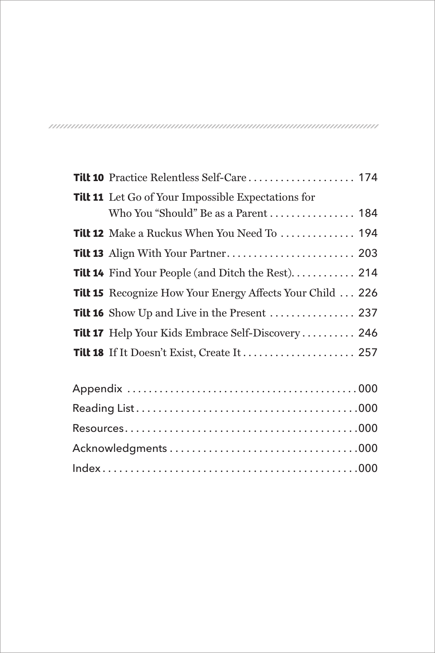*/////////////////////////////////////////////////////////////////////////////////////////*

|  | Tilt 10 Practice Relentless Self-Care 174                                                         |  |
|--|---------------------------------------------------------------------------------------------------|--|
|  | <b>Till 11</b> Let Go of Your Impossible Expectations for<br>Who You "Should" Be as a Parent  184 |  |
|  | <b>Tilt 12</b> Make a Ruckus When You Need To  194                                                |  |
|  | Tilt 13 Align With Your Partner 203                                                               |  |
|  | <b>Tilt 14</b> Find Your People (and Ditch the Rest). 214                                         |  |
|  | <b>Till 15</b> Recognize How Your Energy Affects Your Child  226                                  |  |
|  | Tilt 16 Show Up and Live in the Present  237                                                      |  |
|  | <b>Tilt 17</b> Help Your Kids Embrace Self-Discovery  246                                         |  |
|  | Tilt 18 If It Doesn't Exist, Create It  257                                                       |  |
|  |                                                                                                   |  |
|  |                                                                                                   |  |
|  |                                                                                                   |  |
|  |                                                                                                   |  |
|  |                                                                                                   |  |
|  |                                                                                                   |  |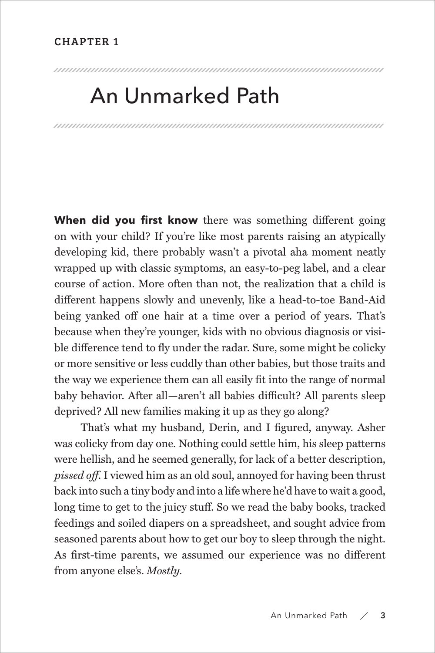## CHAPTER 1

## An Unmarked Path

*/////////////////////////////////////////////////////////////////////////////////////////*

*/////////////////////////////////////////////////////////////////////////////////////////*

**When did you first know** there was something different going on with your child? If you're like most parents raising an atypically developing kid, there probably wasn't a pivotal aha moment neatly wrapped up with classic symptoms, an easy-to-peg label, and a clear course of action. More often than not, the realization that a child is different happens slowly and unevenly, like a head-to-toe Band-Aid being yanked off one hair at a time over a period of years. That's because when they're younger, kids with no obvious diagnosis or visible difference tend to fly under the radar. Sure, some might be colicky or more sensitive or less cuddly than other babies, but those traits and the way we experience them can all easily fit into the range of normal baby behavior. After all—aren't all babies difficult? All parents sleep deprived? All new families making it up as they go along?

That's what my husband, Derin, and I figured, anyway. Asher was colicky from day one. Nothing could settle him, his sleep patterns were hellish, and he seemed generally, for lack of a better description, *pissed off*. I viewed him as an old soul, annoyed for having been thrust back into such a tiny body and into a life where he'd have to wait a good, long time to get to the juicy stuff. So we read the baby books, tracked feedings and soiled diapers on a spreadsheet, and sought advice from seasoned parents about how to get our boy to sleep through the night. As first-time parents, we assumed our experience was no different from anyone else's. *Mostly.*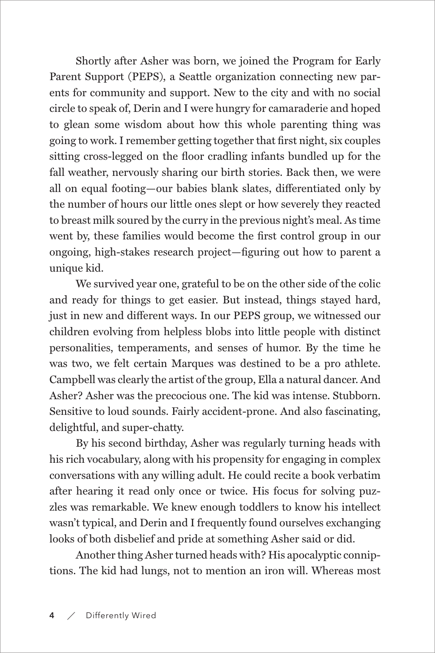Shortly after Asher was born, we joined the Program for Early Parent Support (PEPS), a Seattle organization connecting new parents for community and support. New to the city and with no social circle to speak of, Derin and I were hungry for camaraderie and hoped to glean some wisdom about how this whole parenting thing was going to work. I remember getting together that first night, six couples sitting cross-legged on the floor cradling infants bundled up for the fall weather, nervously sharing our birth stories. Back then, we were all on equal footing—our babies blank slates, differentiated only by the number of hours our little ones slept or how severely they reacted to breast milk soured by the curry in the previous night's meal. As time went by, these families would become the first control group in our ongoing, high-stakes research project—figuring out how to parent a unique kid.

We survived year one, grateful to be on the other side of the colic and ready for things to get easier. But instead, things stayed hard, just in new and different ways. In our PEPS group, we witnessed our children evolving from helpless blobs into little people with distinct personalities, temperaments, and senses of humor. By the time he was two, we felt certain Marques was destined to be a pro athlete. Campbell was clearly the artist of the group, Ella a natural dancer. And Asher? Asher was the precocious one. The kid was intense. Stubborn. Sensitive to loud sounds. Fairly accident-prone. And also fascinating, delightful, and super-chatty.

By his second birthday, Asher was regularly turning heads with his rich vocabulary, along with his propensity for engaging in complex conversations with any willing adult. He could recite a book verbatim after hearing it read only once or twice. His focus for solving puzzles was remarkable. We knew enough toddlers to know his intellect wasn't typical, and Derin and I frequently found ourselves exchanging looks of both disbelief and pride at something Asher said or did.

Another thing Asher turned heads with? His apocalyptic conniptions. The kid had lungs, not to mention an iron will. Whereas most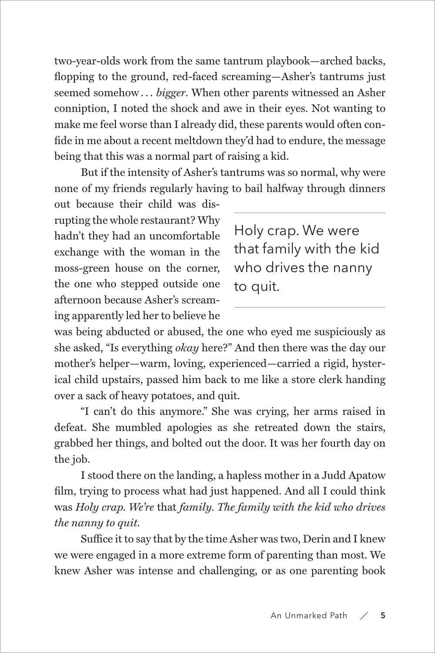two-year-olds work from the same tantrum playbook—arched backs, flopping to the ground, red-faced screaming—Asher's tantrums just seemed somehow ... *bigger*. When other parents witnessed an Asher conniption, I noted the shock and awe in their eyes. Not wanting to make me feel worse than I already did, these parents would often confide in me about a recent meltdown they'd had to endure, the message being that this was a normal part of raising a kid.

But if the intensity of Asher's tantrums was so normal, why were none of my friends regularly having to bail halfway through dinners

out because their child was disrupting the whole restaurant? Why hadn't they had an uncomfortable exchange with the woman in the moss-green house on the corner, the one who stepped outside one afternoon because Asher's screaming apparently led her to believe he

Holy crap. We were that family with the kid who drives the nanny to quit.

was being abducted or abused, the one who eyed me suspiciously as she asked, "Is everything *okay* here?" And then there was the day our mother's helper—warm, loving, experienced—carried a rigid, hysterical child upstairs, passed him back to me like a store clerk handing over a sack of heavy potatoes, and quit.

"I can't do this anymore." She was crying, her arms raised in defeat. She mumbled apologies as she retreated down the stairs, grabbed her things, and bolted out the door. It was her fourth day on the job.

I stood there on the landing, a hapless mother in a Judd Apatow film, trying to process what had just happened. And all I could think was *Holy crap. We're* that *family. The family with the kid who drives the nanny to quit.* 

Suffice it to say that by the time Asher was two, Derin and I knew we were engaged in a more extreme form of parenting than most. We knew Asher was intense and challenging, or as one parenting book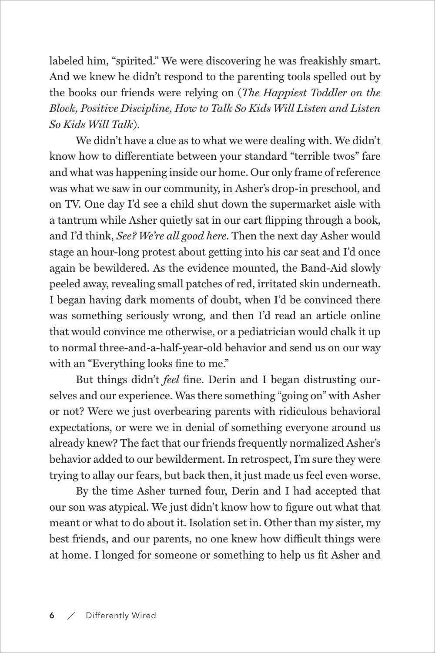labeled him, "spirited." We were discovering he was freakishly smart. And we knew he didn't respond to the parenting tools spelled out by the books our friends were relying on (*The Happiest Toddler on the Block, Positive Discipline, How to Talk So Kids Will Listen and Listen So Kids Will Talk*).

We didn't have a clue as to what we were dealing with. We didn't know how to differentiate between your standard "terrible twos" fare and what was happening inside our home. Our only frame of reference was what we saw in our community, in Asher's drop-in preschool, and on TV. One day I'd see a child shut down the supermarket aisle with a tantrum while Asher quietly sat in our cart flipping through a book, and I'd think, *See? We're all good here*. Then the next day Asher would stage an hour-long protest about getting into his car seat and I'd once again be bewildered. As the evidence mounted, the Band-Aid slowly peeled away, revealing small patches of red, irritated skin underneath. I began having dark moments of doubt, when I'd be convinced there was something seriously wrong, and then I'd read an article online that would convince me otherwise, or a pediatrician would chalk it up to normal three-and-a-half-year-old behavior and send us on our way with an "Everything looks fine to me."

But things didn't *feel* fine. Derin and I began distrusting ourselves and our experience. Was there something "going on" with Asher or not? Were we just overbearing parents with ridiculous behavioral expectations, or were we in denial of something everyone around us already knew? The fact that our friends frequently normalized Asher's behavior added to our bewilderment. In retrospect, I'm sure they were trying to allay our fears, but back then, it just made us feel even worse.

By the time Asher turned four, Derin and I had accepted that our son was atypical. We just didn't know how to figure out what that meant or what to do about it. Isolation set in. Other than my sister, my best friends, and our parents, no one knew how difficult things were at home. I longed for someone or something to help us fit Asher and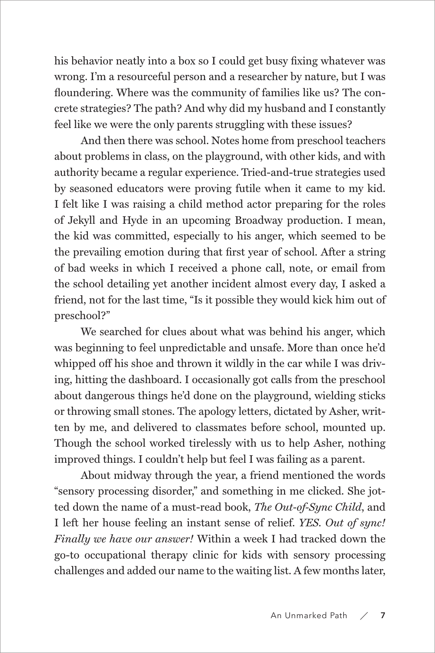his behavior neatly into a box so I could get busy fixing whatever was wrong. I'm a resourceful person and a researcher by nature, but I was floundering. Where was the community of families like us? The concrete strategies? The path? And why did my husband and I constantly feel like we were the only parents struggling with these issues?

And then there was school. Notes home from preschool teachers about problems in class, on the playground, with other kids, and with authority became a regular experience. Tried-and-true strategies used by seasoned educators were proving futile when it came to my kid. I felt like I was raising a child method actor preparing for the roles of Jekyll and Hyde in an upcoming Broadway production. I mean, the kid was committed, especially to his anger, which seemed to be the prevailing emotion during that first year of school. After a string of bad weeks in which I received a phone call, note, or email from the school detailing yet another incident almost every day, I asked a friend, not for the last time, "Is it possible they would kick him out of preschool?"

We searched for clues about what was behind his anger, which was beginning to feel unpredictable and unsafe. More than once he'd whipped off his shoe and thrown it wildly in the car while I was driving, hitting the dashboard. I occasionally got calls from the preschool about dangerous things he'd done on the playground, wielding sticks or throwing small stones. The apology letters, dictated by Asher, written by me, and delivered to classmates before school, mounted up. Though the school worked tirelessly with us to help Asher, nothing improved things. I couldn't help but feel I was failing as a parent.

About midway through the year, a friend mentioned the words "sensory processing disorder," and something in me clicked. She jotted down the name of a must-read book, *The Out-of-Sync Child*, and I left her house feeling an instant sense of relief. *YES. Out of sync! Finally we have our answer!* Within a week I had tracked down the go-to occupational therapy clinic for kids with sensory processing challenges and added our name to the waiting list. A few months later,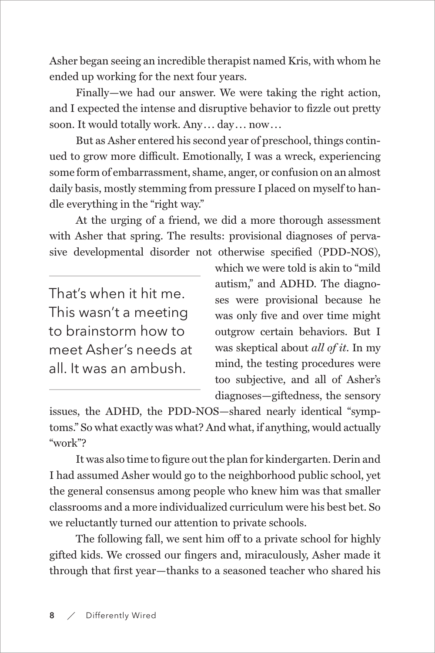Asher began seeing an incredible therapist named Kris, with whom he ended up working for the next four years.

Finally—we had our answer. We were taking the right action, and I expected the intense and disruptive behavior to fizzle out pretty soon. It would totally work. Any ... day ... now ...

But as Asher entered his second year of preschool, things continued to grow more difficult. Emotionally, I was a wreck, experiencing some form of embarrassment, shame, anger, or confusion on an almost daily basis, mostly stemming from pressure I placed on myself to handle everything in the "right way."

At the urging of a friend, we did a more thorough assessment with Asher that spring. The results: provisional diagnoses of pervasive developmental disorder not otherwise specified (PDD-NOS),

That's when it hit me. This wasn't a meeting to brainstorm how to meet Asher's needs at all. It was an ambush.

which we were told is akin to "mild autism," and ADHD. The diagnoses were provisional because he was only five and over time might outgrow certain behaviors. But I was skeptical about *all of it*. In my mind, the testing procedures were too subjective, and all of Asher's diagnoses—giftedness, the sensory

issues, the ADHD, the PDD-NOS—shared nearly identical "symptoms." So what exactly was what? And what, if anything, would actually "work"?

It was also time to figure out the plan for kindergarten. Derin and I had assumed Asher would go to the neighborhood public school, yet the general consensus among people who knew him was that smaller classrooms and a more individualized curriculum were his best bet. So we reluctantly turned our attention to private schools.

The following fall, we sent him off to a private school for highly gifted kids. We crossed our fingers and, miraculously, Asher made it through that first year—thanks to a seasoned teacher who shared his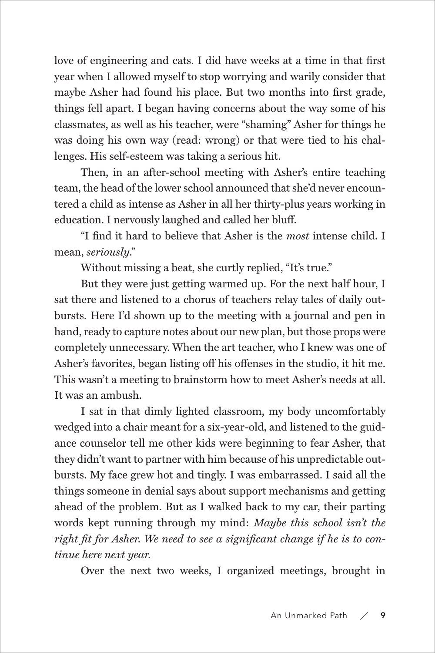love of engineering and cats. I did have weeks at a time in that first year when I allowed myself to stop worrying and warily consider that maybe Asher had found his place. But two months into first grade, things fell apart. I began having concerns about the way some of his classmates, as well as his teacher, were "shaming" Asher for things he was doing his own way (read: wrong) or that were tied to his challenges. His self-esteem was taking a serious hit.

Then, in an after-school meeting with Asher's entire teaching team, the head of the lower school announced that she'd never encountered a child as intense as Asher in all her thirty-plus years working in education. I nervously laughed and called her bluff.

"I find it hard to believe that Asher is the *most* intense child. I mean, *seriously*."

Without missing a beat, she curtly replied, "It's true."

But they were just getting warmed up. For the next half hour, I sat there and listened to a chorus of teachers relay tales of daily outbursts. Here I'd shown up to the meeting with a journal and pen in hand, ready to capture notes about our new plan, but those props were completely unnecessary. When the art teacher, who I knew was one of Asher's favorites, began listing off his offenses in the studio, it hit me. This wasn't a meeting to brainstorm how to meet Asher's needs at all. It was an ambush.

I sat in that dimly lighted classroom, my body uncomfortably wedged into a chair meant for a six-year-old, and listened to the guidance counselor tell me other kids were beginning to fear Asher, that they didn't want to partner with him because of his unpredictable outbursts. My face grew hot and tingly. I was embarrassed. I said all the things someone in denial says about support mechanisms and getting ahead of the problem. But as I walked back to my car, their parting words kept running through my mind: *Maybe this school isn't the right fit for Asher. We need to see a significant change if he is to continue here next year.*

Over the next two weeks, I organized meetings, brought in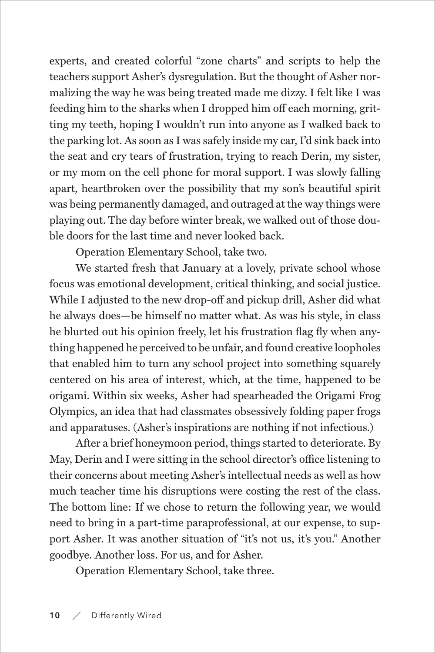experts, and created colorful "zone charts" and scripts to help the teachers support Asher's dysregulation. But the thought of Asher normalizing the way he was being treated made me dizzy. I felt like I was feeding him to the sharks when I dropped him off each morning, gritting my teeth, hoping I wouldn't run into anyone as I walked back to the parking lot. As soon as I was safely inside my car, I'd sink back into the seat and cry tears of frustration, trying to reach Derin, my sister, or my mom on the cell phone for moral support. I was slowly falling apart, heartbroken over the possibility that my son's beautiful spirit was being permanently damaged, and outraged at the way things were playing out. The day before winter break, we walked out of those double doors for the last time and never looked back.

Operation Elementary School, take two.

We started fresh that January at a lovely, private school whose focus was emotional development, critical thinking, and social justice. While I adjusted to the new drop-off and pickup drill, Asher did what he always does—be himself no matter what. As was his style, in class he blurted out his opinion freely, let his frustration flag fly when anything happened he perceived to be unfair, and found creative loopholes that enabled him to turn any school project into something squarely centered on his area of interest, which, at the time, happened to be origami. Within six weeks, Asher had spearheaded the Origami Frog Olympics, an idea that had classmates obsessively folding paper frogs and apparatuses. (Asher's inspirations are nothing if not infectious.)

After a brief honeymoon period, things started to deteriorate. By May, Derin and I were sitting in the school director's office listening to their concerns about meeting Asher's intellectual needs as well as how much teacher time his disruptions were costing the rest of the class. The bottom line: If we chose to return the following year, we would need to bring in a part-time paraprofessional, at our expense, to support Asher. It was another situation of "it's not us, it's you." Another goodbye. Another loss. For us, and for Asher.

Operation Elementary School, take three.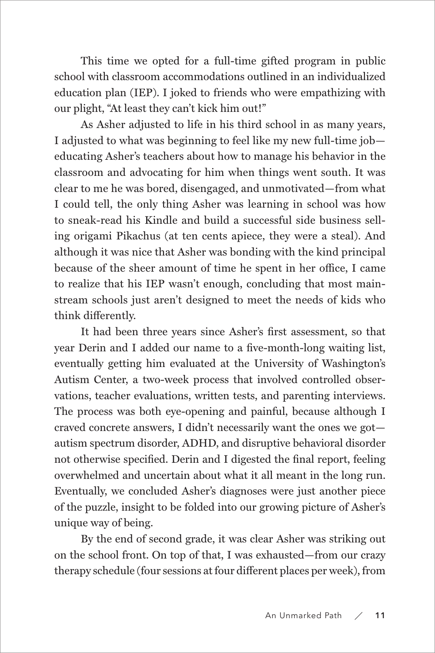This time we opted for a full-time gifted program in public school with classroom accommodations outlined in an individualized education plan (IEP). I joked to friends who were empathizing with our plight, "At least they can't kick him out!"

As Asher adjusted to life in his third school in as many years, I adjusted to what was beginning to feel like my new full-time job educating Asher's teachers about how to manage his behavior in the classroom and advocating for him when things went south. It was clear to me he was bored, disengaged, and unmotivated—from what I could tell, the only thing Asher was learning in school was how to sneak-read his Kindle and build a successful side business selling origami Pikachus (at ten cents apiece, they were a steal). And although it was nice that Asher was bonding with the kind principal because of the sheer amount of time he spent in her office, I came to realize that his IEP wasn't enough, concluding that most mainstream schools just aren't designed to meet the needs of kids who think differently.

It had been three years since Asher's first assessment, so that year Derin and I added our name to a five-month-long waiting list, eventually getting him evaluated at the University of Washington's Autism Center, a two-week process that involved controlled observations, teacher evaluations, written tests, and parenting interviews. The process was both eye-opening and painful, because although I craved concrete answers, I didn't necessarily want the ones we got autism spectrum disorder, ADHD, and disruptive behavioral disorder not otherwise specified. Derin and I digested the final report, feeling overwhelmed and uncertain about what it all meant in the long run. Eventually, we concluded Asher's diagnoses were just another piece of the puzzle, insight to be folded into our growing picture of Asher's unique way of being.

By the end of second grade, it was clear Asher was striking out on the school front. On top of that, I was exhausted—from our crazy therapy schedule (four sessions at four different places per week), from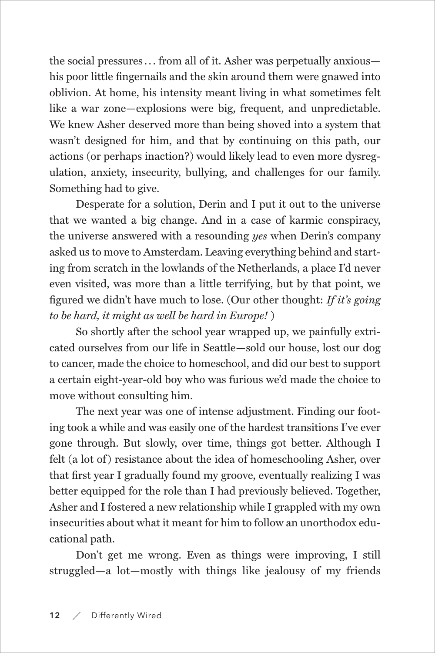the social pressures ... from all of it. Asher was perpetually anxious his poor little fingernails and the skin around them were gnawed into oblivion. At home, his intensity meant living in what sometimes felt like a war zone—explosions were big, frequent, and unpredictable. We knew Asher deserved more than being shoved into a system that wasn't designed for him, and that by continuing on this path, our actions (or perhaps inaction?) would likely lead to even more dysregulation, anxiety, insecurity, bullying, and challenges for our family. Something had to give.

Desperate for a solution, Derin and I put it out to the universe that we wanted a big change. And in a case of karmic conspiracy, the universe answered with a resounding *yes* when Derin's company asked us to move to Amsterdam. Leaving everything behind and starting from scratch in the lowlands of the Netherlands, a place I'd never even visited, was more than a little terrifying, but by that point, we figured we didn't have much to lose. (Our other thought: *If it's going to be hard, it might as well be hard in Europe!* )

So shortly after the school year wrapped up, we painfully extricated ourselves from our life in Seattle—sold our house, lost our dog to cancer, made the choice to homeschool, and did our best to support a certain eight-year-old boy who was furious we'd made the choice to move without consulting him.

The next year was one of intense adjustment. Finding our footing took a while and was easily one of the hardest transitions I've ever gone through. But slowly, over time, things got better. Although I felt (a lot of) resistance about the idea of homeschooling Asher, over that first year I gradually found my groove, eventually realizing I was better equipped for the role than I had previously believed. Together, Asher and I fostered a new relationship while I grappled with my own insecurities about what it meant for him to follow an unorthodox educational path.

Don't get me wrong. Even as things were improving, I still struggled—a lot—mostly with things like jealousy of my friends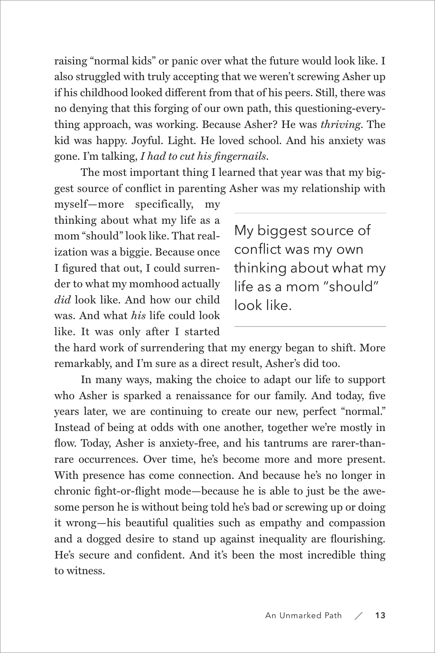raising "normal kids" or panic over what the future would look like. I also struggled with truly accepting that we weren't screwing Asher up if his childhood looked different from that of his peers. Still, there was no denying that this forging of our own path, this questioning-everything approach, was working. Because Asher? He was *thriving*. The kid was happy. Joyful. Light. He loved school. And his anxiety was gone. I'm talking, *I had to cut his fingernails*.

The most important thing I learned that year was that my biggest source of conflict in parenting Asher was my relationship with

myself—more specifically, my thinking about what my life as a mom "should" look like. That realization was a biggie. Because once I figured that out, I could surrender to what my momhood actually *did* look like. And how our child was. And what *his* life could look like. It was only after I started

My biggest source of conflict was my own thinking about what my life as a mom "should" look like.

the hard work of surrendering that my energy began to shift. More remarkably, and I'm sure as a direct result, Asher's did too.

In many ways, making the choice to adapt our life to support who Asher is sparked a renaissance for our family. And today, five years later, we are continuing to create our new, perfect "normal." Instead of being at odds with one another, together we're mostly in flow. Today, Asher is anxiety-free, and his tantrums are rarer-thanrare occurrences. Over time, he's become more and more present. With presence has come connection. And because he's no longer in chronic fight-or-flight mode—because he is able to just be the awesome person he is without being told he's bad or screwing up or doing it wrong—his beautiful qualities such as empathy and compassion and a dogged desire to stand up against inequality are flourishing. He's secure and confident. And it's been the most incredible thing to witness.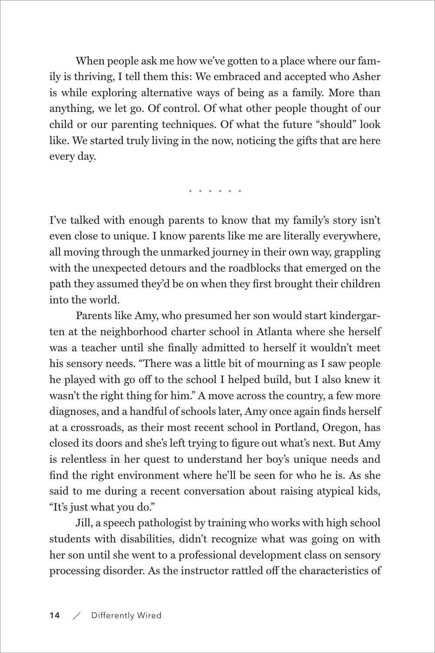When people ask me how we've gotten to a place where our family is thriving, I tell them this: We embraced and accepted who Asher is while exploring alternative ways of being as a family. More than anything, we let go. Of control. Of what other people thought of our child or our parenting techniques. Of what the future "should" look like. We started truly living in the now, noticing the gifts that are here every day.

**......**

I've talked with enough parents to know that my family's story isn't even close to unique. I know parents like me are literally everywhere, all moving through the unmarked journey in their own way, grappling with the unexpected detours and the roadblocks that emerged on the path they assumed they'd be on when they first brought their children into the world.

Parents like Amy, who presumed her son would start kindergarten at the neighborhood charter school in Atlanta where she herself was a teacher until she finally admitted to herself it wouldn't meet his sensory needs. "There was a little bit of mourning as I saw people he played with go off to the school I helped build, but I also knew it wasn't the right thing for him." A move across the country, a few more diagnoses, and a handful of schools later, Amy once again finds herself at a crossroads, as their most recent school in Portland, Oregon, has closed its doors and she's left trying to figure out what's next. But Amy is relentless in her quest to understand her boy's unique needs and find the right environment where he'll be seen for who he is. As she said to me during a recent conversation about raising atypical kids, "It's just what you do."

Jill, a speech pathologist by training who works with high school students with disabilities, didn't recognize what was going on with her son until she went to a professional development class on sensory processing disorder. As the instructor rattled off the characteristics of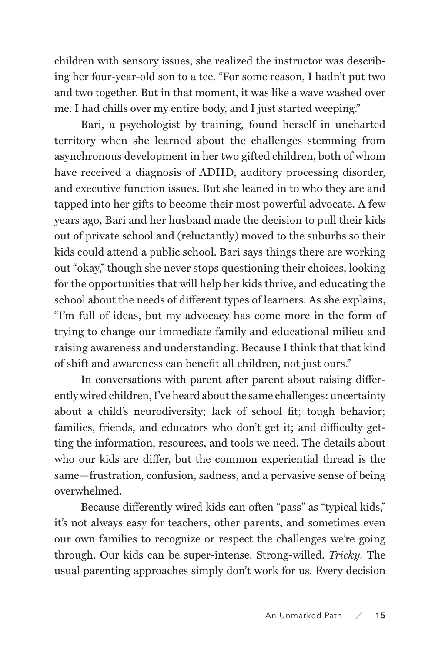children with sensory issues, she realized the instructor was describing her four-year-old son to a tee. "For some reason, I hadn't put two and two together. But in that moment, it was like a wave washed over me. I had chills over my entire body, and I just started weeping."

Bari, a psychologist by training, found herself in uncharted territory when she learned about the challenges stemming from asynchronous development in her two gifted children, both of whom have received a diagnosis of ADHD, auditory processing disorder, and executive function issues. But she leaned in to who they are and tapped into her gifts to become their most powerful advocate. A few years ago, Bari and her husband made the decision to pull their kids out of private school and (reluctantly) moved to the suburbs so their kids could attend a public school. Bari says things there are working out "okay," though she never stops questioning their choices, looking for the opportunities that will help her kids thrive, and educating the school about the needs of different types of learners. As she explains, "I'm full of ideas, but my advocacy has come more in the form of trying to change our immediate family and educational milieu and raising awareness and understanding. Because I think that that kind of shift and awareness can benefit all children, not just ours."

In conversations with parent after parent about raising differently wired children, I've heard about the same challenges: uncertainty about a child's neurodiversity; lack of school fit; tough behavior; families, friends, and educators who don't get it; and difficulty getting the information, resources, and tools we need. The details about who our kids are differ, but the common experiential thread is the same—frustration, confusion, sadness, and a pervasive sense of being overwhelmed.

Because differently wired kids can often "pass" as "typical kids," it's not always easy for teachers, other parents, and sometimes even our own families to recognize or respect the challenges we're going through. Our kids can be super-intense. Strong-willed. *Tricky.* The usual parenting approaches simply don't work for us. Every decision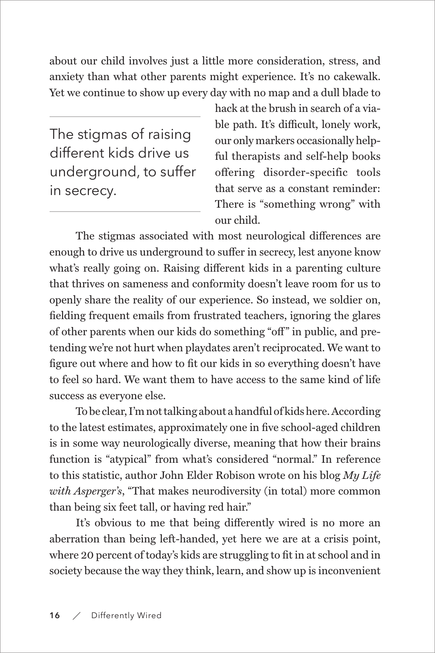about our child involves just a little more consideration, stress, and anxiety than what other parents might experience. It's no cakewalk. Yet we continue to show up every day with no map and a dull blade to

The stigmas of raising different kids drive us underground, to suffer in secrecy.

hack at the brush in search of a viable path. It's difficult, lonely work, our only markers occasionally helpful therapists and self-help books offering disorder-specific tools that serve as a constant reminder: There is "something wrong" with our child.

The stigmas associated with most neurological differences are enough to drive us underground to suffer in secrecy, lest anyone know what's really going on. Raising different kids in a parenting culture that thrives on sameness and conformity doesn't leave room for us to openly share the reality of our experience. So instead, we soldier on, fielding frequent emails from frustrated teachers, ignoring the glares of other parents when our kids do something "off " in public, and pretending we're not hurt when playdates aren't reciprocated. We want to figure out where and how to fit our kids in so everything doesn't have to feel so hard. We want them to have access to the same kind of life success as everyone else.

To be clear, I'm not talking about a handful of kids here. According to the latest estimates, approximately one in five school-aged children is in some way neurologically diverse, meaning that how their brains function is "atypical" from what's considered "normal." In reference to this statistic, author John Elder Robison wrote on his blog *My Life with Asperger's*, "That makes neurodiversity (in total) more common than being six feet tall, or having red hair."

It's obvious to me that being differently wired is no more an aberration than being left-handed, yet here we are at a crisis point, where 20 percent of today's kids are struggling to fit in at school and in society because the way they think, learn, and show up is inconvenient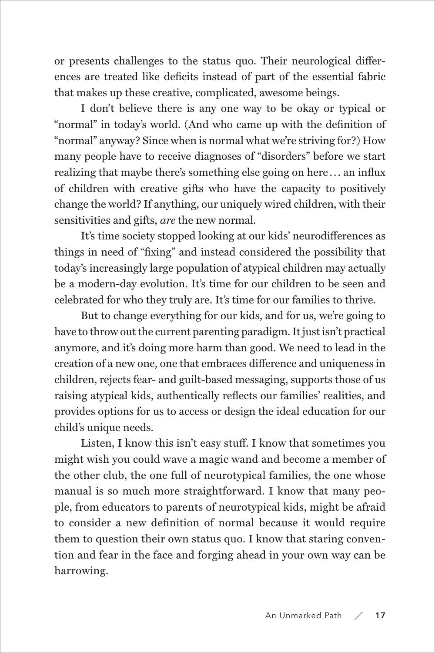or presents challenges to the status quo. Their neurological differences are treated like deficits instead of part of the essential fabric that makes up these creative, complicated, awesome beings.

I don't believe there is any one way to be okay or typical or "normal" in today's world. (And who came up with the definition of "normal" anyway? Since when is normal what we're striving for?) How many people have to receive diagnoses of "disorders" before we start realizing that maybe there's something else going on here . . . an influx of children with creative gifts who have the capacity to positively change the world? If anything, our uniquely wired children, with their sensitivities and gifts, *are* the new normal.

It's time society stopped looking at our kids' neurodifferences as things in need of "fixing" and instead considered the possibility that today's increasingly large population of atypical children may actually be a modern-day evolution. It's time for our children to be seen and celebrated for who they truly are. It's time for our families to thrive.

But to change everything for our kids, and for us, we're going to have to throw out the current parenting paradigm. It just isn't practical anymore, and it's doing more harm than good. We need to lead in the creation of a new one, one that embraces difference and uniqueness in children, rejects fear- and guilt-based messaging, supports those of us raising atypical kids, authentically reflects our families' realities, and provides options for us to access or design the ideal education for our child's unique needs.

Listen, I know this isn't easy stuff. I know that sometimes you might wish you could wave a magic wand and become a member of the other club, the one full of neurotypical families, the one whose manual is so much more straightforward. I know that many people, from educators to parents of neurotypical kids, might be afraid to consider a new definition of normal because it would require them to question their own status quo. I know that staring convention and fear in the face and forging ahead in your own way can be harrowing.